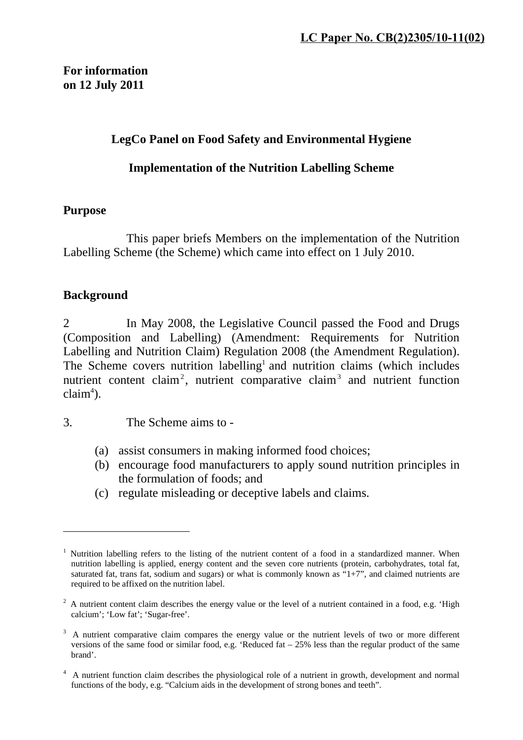#### **LegCo Panel on Food Safety and Environmental Hygiene**

#### **Implementation of the Nutrition Labelling Scheme**

#### **Purpose**

This paper briefs Members on the implementation of the Nutrition Labelling Scheme (the Scheme) which came into effect on 1 July 2010.

#### **Background**

<u>.</u>

2 In May 2008, the Legislative Council passed the Food and Drugs (Composition and Labelling) (Amendment: Requirements for Nutrition Labelling and Nutrition Claim) Regulation 2008 (the Amendment Regulation). The Scheme covers nutrition labelling<sup>1</sup> and nutrition claims (which includes nutrient content claim<sup>2</sup>, nutrient comparative claim<sup>3</sup> and nutrient function  $claim<sup>4</sup>$ ).

3. The Scheme aims to -

- (a) assist consumers in making informed food choices;
- (b) encourage food manufacturers to apply sound nutrition principles in the formulation of foods; and
- (c) regulate misleading or deceptive labels and claims.

<sup>&</sup>lt;sup>1</sup> Nutrition labelling refers to the listing of the nutrient content of a food in a standardized manner. When nutrition labelling is applied, energy content and the seven core nutrients (protein, carbohydrates, total fat, saturated fat, trans fat, sodium and sugars) or what is commonly known as  $\ddot{H} + 7$ , and claimed nutrients are required to be affixed on the nutrition label.

 $2$  A nutrient content claim describes the energy value or the level of a nutrient contained in a food, e.g. 'High calcium'; 'Low fat'; 'Sugar-free'.

 $3\,$  A nutrient comparative claim compares the energy value or the nutrient levels of two or more different versions of the same food or similar food, e.g. 'Reduced fat  $-25%$  less than the regular product of the same brand'.

<sup>4</sup> A nutrient function claim describes the physiological role of a nutrient in growth, development and normal functions of the body, e.g. "Calcium aids in the development of strong bones and teeth".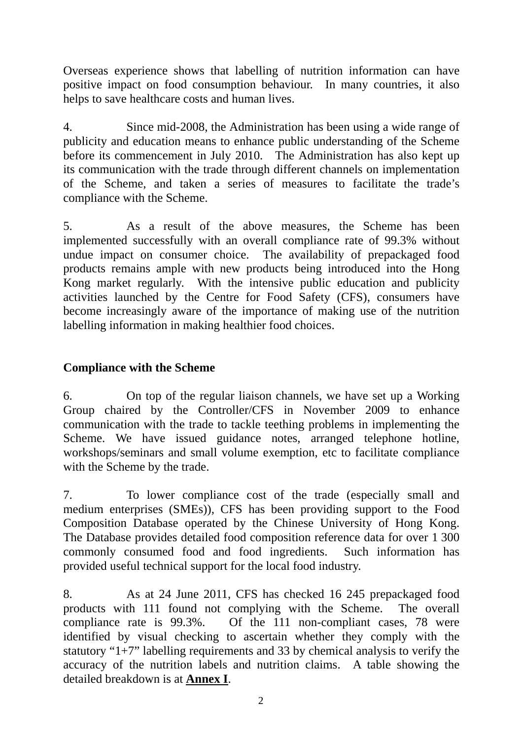Overseas experience shows that labelling of nutrition information can have positive impact on food consumption behaviour. In many countries, it also helps to save healthcare costs and human lives.

4. Since mid-2008, the Administration has been using a wide range of publicity and education means to enhance public understanding of the Scheme before its commencement in July 2010. The Administration has also kept up its communication with the trade through different channels on implementation of the Scheme, and taken a series of measures to facilitate the trade's compliance with the Scheme.

5. As a result of the above measures, the Scheme has been implemented successfully with an overall compliance rate of 99.3% without undue impact on consumer choice. The availability of prepackaged food products remains ample with new products being introduced into the Hong Kong market regularly. With the intensive public education and publicity activities launched by the Centre for Food Safety (CFS), consumers have become increasingly aware of the importance of making use of the nutrition labelling information in making healthier food choices.

#### **Compliance with the Scheme**

6. On top of the regular liaison channels, we have set up a Working Group chaired by the Controller/CFS in November 2009 to enhance communication with the trade to tackle teething problems in implementing the Scheme. We have issued guidance notes, arranged telephone hotline, workshops/seminars and small volume exemption, etc to facilitate compliance with the Scheme by the trade.

7. To lower compliance cost of the trade (especially small and medium enterprises (SMEs)), CFS has been providing support to the Food Composition Database operated by the Chinese University of Hong Kong. The Database provides detailed food composition reference data for over 1 300 commonly consumed food and food ingredients. Such information has provided useful technical support for the local food industry.

8. As at 24 June 2011, CFS has checked 16 245 prepackaged food products with 111 found not complying with the Scheme. The overall compliance rate is 99.3%. Of the 111 non-compliant cases, 78 were identified by visual checking to ascertain whether they comply with the statutory " $1+7$ " labelling requirements and 33 by chemical analysis to verify the accuracy of the nutrition labels and nutrition claims. A table showing the detailed breakdown is at **Annex I**.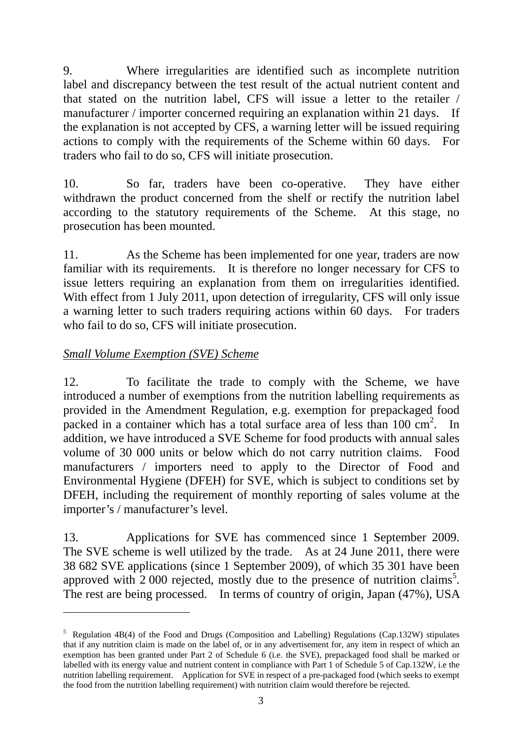9. Where irregularities are identified such as incomplete nutrition label and discrepancy between the test result of the actual nutrient content and that stated on the nutrition label, CFS will issue a letter to the retailer / manufacturer / importer concerned requiring an explanation within 21 days. If the explanation is not accepted by CFS, a warning letter will be issued requiring actions to comply with the requirements of the Scheme within 60 days. For traders who fail to do so, CFS will initiate prosecution.

10. So far, traders have been co-operative. They have either withdrawn the product concerned from the shelf or rectify the nutrition label according to the statutory requirements of the Scheme. At this stage, no prosecution has been mounted.

11. As the Scheme has been implemented for one year, traders are now familiar with its requirements. It is therefore no longer necessary for CFS to issue letters requiring an explanation from them on irregularities identified. With effect from 1 July 2011, upon detection of irregularity, CFS will only issue a warning letter to such traders requiring actions within 60 days. For traders who fail to do so, CFS will initiate prosecution.

#### *Small Volume Exemption (SVE) Scheme*

1

12. To facilitate the trade to comply with the Scheme, we have introduced a number of exemptions from the nutrition labelling requirements as provided in the Amendment Regulation, e.g. exemption for prepackaged food packed in a container which has a total surface area of less than  $100 \text{ cm}^2$ . In addition, we have introduced a SVE Scheme for food products with annual sales volume of 30 000 units or below which do not carry nutrition claims. Food manufacturers / importers need to apply to the Director of Food and Environmental Hygiene (DFEH) for SVE, which is subject to conditions set by DFEH, including the requirement of monthly reporting of sales volume at the importer's / manufacturer's level.

13. Applications for SVE has commenced since 1 September 2009. The SVE scheme is well utilized by the trade. As at 24 June 2011, there were 38 682 SVE applications (since 1 September 2009), of which 35 301 have been approved with  $2000$  rejected, mostly due to the presence of nutrition claims<sup>5</sup>. The rest are being processed. In terms of country of origin, Japan (47%), USA

<sup>&</sup>lt;sup>5</sup> Regulation 4B(4) of the Food and Drugs (Composition and Labelling) Regulations (Cap.132W) stipulates that if any nutrition claim is made on the label of, or in any advertisement for, any item in respect of which an exemption has been granted under Part 2 of Schedule 6 (i.e. the SVE), prepackaged food shall be marked or labelled with its energy value and nutrient content in compliance with Part 1 of Schedule 5 of Cap.132W, i.e the nutrition labelling requirement. Application for SVE in respect of a pre-packaged food (which seeks to exempt the food from the nutrition labelling requirement) with nutrition claim would therefore be rejected.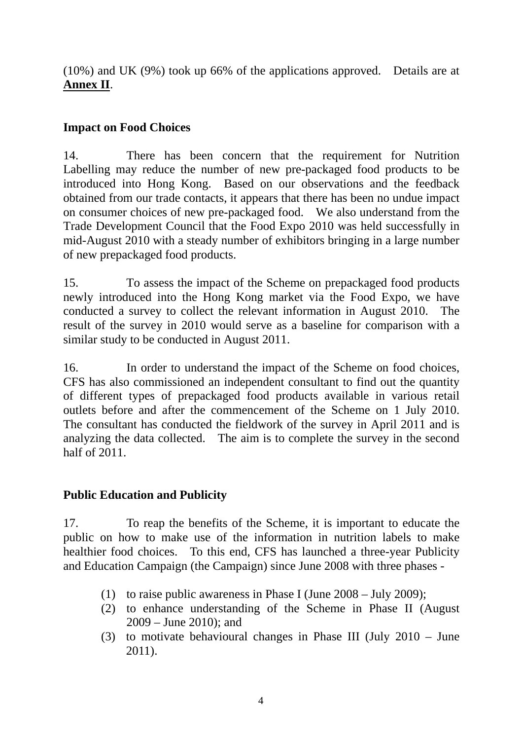(10%) and UK (9%) took up 66% of the applications approved. Details are at **Annex II**.

#### **Impact on Food Choices**

14. There has been concern that the requirement for Nutrition Labelling may reduce the number of new pre-packaged food products to be introduced into Hong Kong. Based on our observations and the feedback obtained from our trade contacts, it appears that there has been no undue impact on consumer choices of new pre-packaged food. We also understand from the Trade Development Council that the Food Expo 2010 was held successfully in mid-August 2010 with a steady number of exhibitors bringing in a large number of new prepackaged food products.

15. To assess the impact of the Scheme on prepackaged food products newly introduced into the Hong Kong market via the Food Expo, we have conducted a survey to collect the relevant information in August 2010. The result of the survey in 2010 would serve as a baseline for comparison with a similar study to be conducted in August 2011.

16. In order to understand the impact of the Scheme on food choices, CFS has also commissioned an independent consultant to find out the quantity of different types of prepackaged food products available in various retail outlets before and after the commencement of the Scheme on 1 July 2010. The consultant has conducted the fieldwork of the survey in April 2011 and is analyzing the data collected. The aim is to complete the survey in the second half of 2011.

#### **Public Education and Publicity**

17. To reap the benefits of the Scheme, it is important to educate the public on how to make use of the information in nutrition labels to make healthier food choices. To this end, CFS has launched a three-year Publicity and Education Campaign (the Campaign) since June 2008 with three phases -

- (1) to raise public awareness in Phase I (June 2008 July 2009);
- (2) to enhance understanding of the Scheme in Phase II (August 2009 – June 2010); and
- (3) to motivate behavioural changes in Phase III (July 2010 June 2011).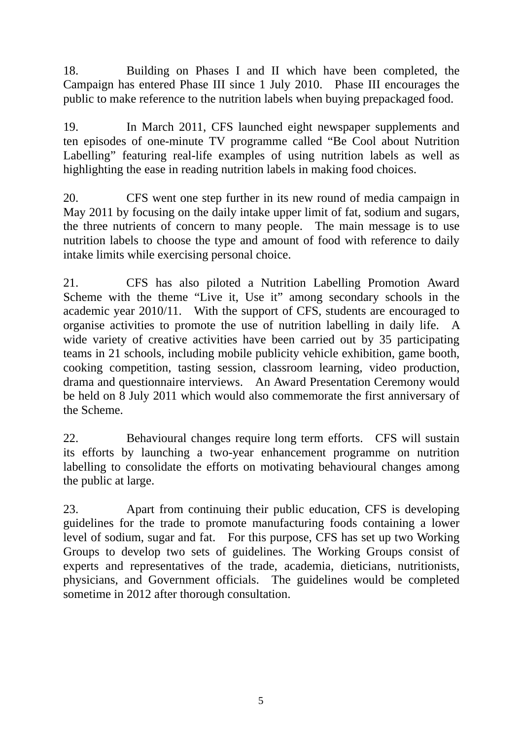18. Building on Phases I and II which have been completed, the Campaign has entered Phase III since 1 July 2010. Phase III encourages the public to make reference to the nutrition labels when buying prepackaged food.

19. In March 2011, CFS launched eight newspaper supplements and ten episodes of one-minute TV programme called "Be Cool about Nutrition Labelling" featuring real-life examples of using nutrition labels as well as highlighting the ease in reading nutrition labels in making food choices.

20. CFS went one step further in its new round of media campaign in May 2011 by focusing on the daily intake upper limit of fat, sodium and sugars, the three nutrients of concern to many people. The main message is to use nutrition labels to choose the type and amount of food with reference to daily intake limits while exercising personal choice.

21. CFS has also piloted a Nutrition Labelling Promotion Award Scheme with the theme "Live it, Use it" among secondary schools in the academic year 2010/11. With the support of CFS, students are encouraged to organise activities to promote the use of nutrition labelling in daily life. A wide variety of creative activities have been carried out by 35 participating teams in 21 schools, including mobile publicity vehicle exhibition, game booth, cooking competition, tasting session, classroom learning, video production, drama and questionnaire interviews. An Award Presentation Ceremony would be held on 8 July 2011 which would also commemorate the first anniversary of the Scheme.

22. Behavioural changes require long term efforts. CFS will sustain its efforts by launching a two-year enhancement programme on nutrition labelling to consolidate the efforts on motivating behavioural changes among the public at large.

23. Apart from continuing their public education, CFS is developing guidelines for the trade to promote manufacturing foods containing a lower level of sodium, sugar and fat. For this purpose, CFS has set up two Working Groups to develop two sets of guidelines. The Working Groups consist of experts and representatives of the trade, academia, dieticians, nutritionists, physicians, and Government officials. The guidelines would be completed sometime in 2012 after thorough consultation.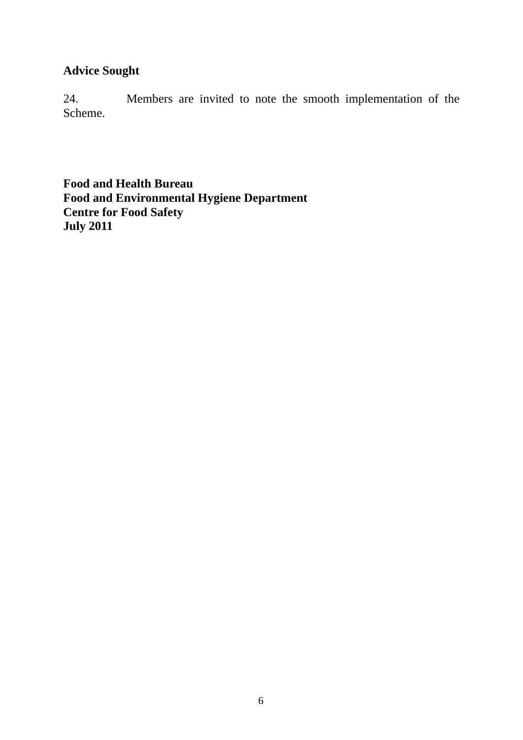#### **Advice Sought**

24. Members are invited to note the smooth implementation of the Scheme.

**Food and Health Bureau Food and Environmental Hygiene Department Centre for Food Safety July 2011**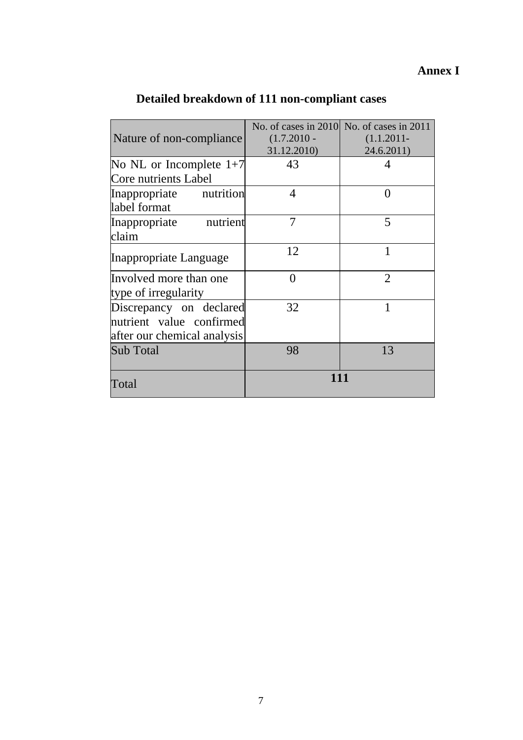### **Annex I**

|                                                                                    |                | No. of cases in 2010 No. of cases in 2011 |
|------------------------------------------------------------------------------------|----------------|-------------------------------------------|
| Nature of non-compliance                                                           | $(1.7.2010 -$  | $(1.1.2011 -$                             |
|                                                                                    | 31.12.2010)    | 24.6.2011)                                |
| No NL or Incomplete $1+7$                                                          | 43             |                                           |
| Core nutrients Label                                                               |                |                                           |
| nutrition<br>Inappropriate                                                         | $\overline{4}$ | 0                                         |
| label format                                                                       |                |                                           |
| Inappropriate<br>nutrient                                                          | 7              | 5                                         |
| claim                                                                              |                |                                           |
| Inappropriate Language                                                             | 12             | 1                                         |
| Involved more than one<br>type of irregularity                                     | $\theta$       | $\overline{2}$                            |
| Discrepancy on declared<br>nutrient value confirmed<br>after our chemical analysis | 32             | 1                                         |
| <b>Sub Total</b>                                                                   | 98             | 13                                        |
| Total                                                                              | 111            |                                           |

# **Detailed breakdown of 111 non-compliant cases**